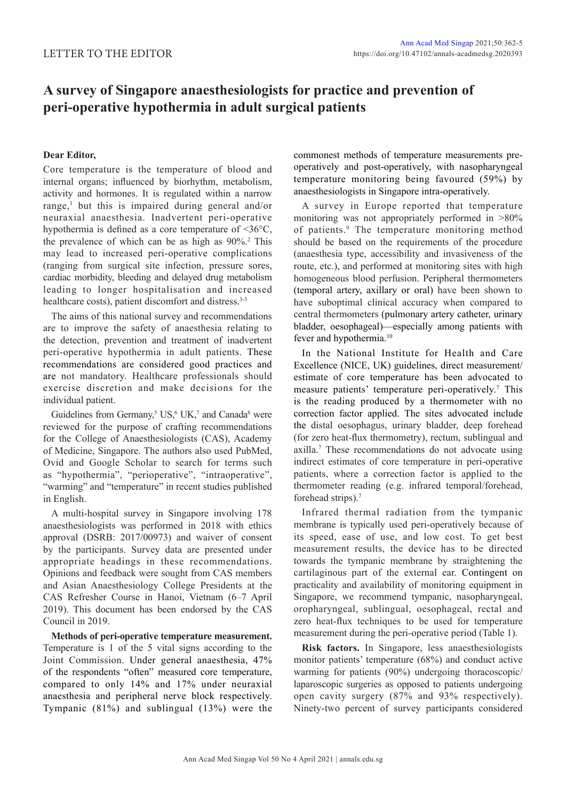# **A survey of Singapore anaesthesiologists for practice and prevention of peri-operative hypothermia in adult surgical patients**

# **Dear Editor,**

Core temperature is the temperature of blood and internal organs; influenced by biorhythm, metabolism, activity and hormones. It is regulated within a narrow range,<sup>1</sup> but this is impaired during general and/or neuraxial anaesthesia. Inadvertent peri-operative hypothermia is defined as a core temperature of <36°C, the prevalence of which can be as high as  $90\%$ <sup>2</sup>. This may lead to increased peri-operative complications (ranging from surgical site infection, pressure sores, cardiac morbidity, bleeding and delayed drug metabolism leading to longer hospitalisation and increased healthcare costs), patient discomfort and distress.<sup>3-5</sup>

The aims of this national survey and recommendations are to improve the safety of anaesthesia relating to the detection, prevention and treatment of inadvertent peri-operative hypothermia in adult patients. These recommendations are considered good practices and are not mandatory. Healthcare professionals should exercise discretion and make decisions for the individual patient.

Guidelines from Germany,<sup>5</sup> US, $6$  UK,<sup>7</sup> and Canada<sup>8</sup> were reviewed for the purpose of crafting recommendations for the College of Anaesthesiologists (CAS), Academy of Medicine, Singapore. The authors also used PubMed, Ovid and Google Scholar to search for terms such as "hypothermia", "perioperative", "intraoperative", "warming" and "temperature" in recent studies published in English.

A multi-hospital survey in Singapore involving 178 anaesthesiologists was performed in 2018 with ethics approval (DSRB: 2017/00973) and waiver of consent by the participants. Survey data are presented under appropriate headings in these recommendations. Opinions and feedback were sought from CAS members and Asian Anaesthesiology College Presidents at the CAS Refresher Course in Hanoi, Vietnam (6–7 April 2019). This document has been endorsed by the CAS Council in 2019.

**Methods of peri-operative temperature measurement.**  Temperature is 1 of the 5 vital signs according to the Joint Commission. Under general anaesthesia, 47% of the respondents "often" measured core temperature, compared to only 14% and 17% under neuraxial anaesthesia and peripheral nerve block respectively. Tympanic (81%) and sublingual (13%) were the

commonest methods of temperature measurements preoperatively and post-operatively, with nasopharyngeal temperature monitoring being favoured (59%) by anaesthesiologists in Singapore intra-operatively.

A survey in Europe reported that temperature monitoring was not appropriately performed in >80% of patients.<sup>9</sup> The temperature monitoring method should be based on the requirements of the procedure (anaesthesia type, accessibility and invasiveness of the route, etc.), and performed at monitoring sites with high homogeneous blood perfusion. Peripheral thermometers (temporal artery, axillary or oral) have been shown to have suboptimal clinical accuracy when compared to central thermometers (pulmonary artery catheter, urinary bladder, oesophageal)—especially among patients with fever and hypothermia.<sup>10</sup>

In the National Institute for Health and Care Excellence (NICE, UK) guidelines, direct measurement/ estimate of core temperature has been advocated to measure patients' temperature peri-operatively.<sup>7</sup> This is the reading produced by a thermometer with no correction factor applied. The sites advocated include the distal oesophagus, urinary bladder, deep forehead (for zero heat-flux thermometry), rectum, sublingual and axilla.<sup>7</sup> These recommendations do not advocate using indirect estimates of core temperature in peri-operative patients, where a correction factor is applied to the thermometer reading (e.g. infrared temporal/forehead, forehead strips).<sup>7</sup>

Infrared thermal radiation from the tympanic membrane is typically used peri-operatively because of its speed, ease of use, and low cost. To get best measurement results, the device has to be directed towards the tympanic membrane by straightening the cartilaginous part of the external ear. Contingent on practicality and availability of monitoring equipment in Singapore, we recommend tympanic, nasopharyngeal, oropharyngeal, sublingual, oesophageal, rectal and zero heat-flux techniques to be used for temperature measurement during the peri-operative period (Table 1).

**Risk factors.** In Singapore, less anaesthesiologists monitor patients' temperature (68%) and conduct active warming for patients (90%) undergoing thoracoscopic/ laparoscopic surgeries as opposed to patients undergoing open cavity surgery (87% and 93% respectively). Ninety-two percent of survey participants considered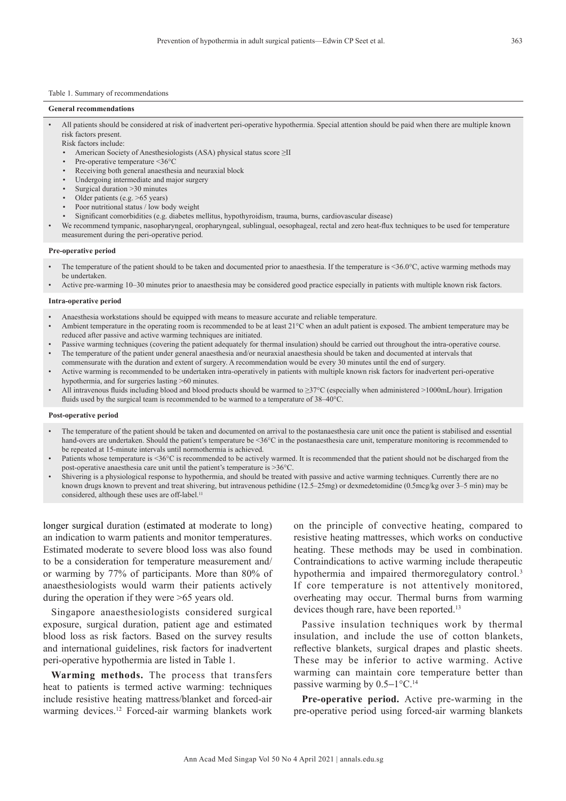### Table 1. Summary of recommendations

# **General recommendations**

- All patients should be considered at risk of inadvertent peri-operative hypothermia. Special attention should be paid when there are multiple known risk factors present.
	- Risk factors include:
	- American Society of Anesthesiologists (ASA) physical status score ≥II
	- Pre-operative temperature <36°C
	- Receiving both general anaesthesia and neuraxial block
	- Undergoing intermediate and major surgery
	- Surgical duration >30 minutes
	- Older patients (e.g. >65 years)
	- Poor nutritional status / low body weight
	- Significant comorbidities (e.g. diabetes mellitus, hypothyroidism, trauma, burns, cardiovascular disease)
- We recommend tympanic, nasopharyngeal, oropharyngeal, sublingual, oesophageal, rectal and zero heat-flux techniques to be used for temperature measurement during the peri-operative period.

## **Pre-operative period**

- The temperature of the patient should to be taken and documented prior to anaesthesia. If the temperature is <36.0°C, active warming methods may be undertaken.
- Active pre-warming 10–30 minutes prior to anaesthesia may be considered good practice especially in patients with multiple known risk factors.

#### **Intra-operative period**

- Anaesthesia workstations should be equipped with means to measure accurate and reliable temperature.
- Ambient temperature in the operating room is recommended to be at least 21°C when an adult patient is exposed. The ambient temperature may be reduced after passive and active warming techniques are initiated.
- Passive warming techniques (covering the patient adequately for thermal insulation) should be carried out throughout the intra-operative course. • The temperature of the patient under general anaesthesia and/or neuraxial anaesthesia should be taken and documented at intervals that
- commensurate with the duration and extent of surgery. A recommendation would be every 30 minutes until the end of surgery.
- Active warming is recommended to be undertaken intra-operatively in patients with multiple known risk factors for inadvertent peri-operative hypothermia, and for surgeries lasting >60 minutes.
- All intravenous fluids including blood and blood products should be warmed to ≥37°C (especially when administered >1000mL/hour). Irrigation fluids used by the surgical team is recommended to be warmed to a temperature of 38–40°C.

#### **Post-operative period**

- The temperature of the patient should be taken and documented on arrival to the postanaesthesia care unit once the patient is stabilised and essential hand-overs are undertaken. Should the patient's temperature be <36°C in the postanaesthesia care unit, temperature monitoring is recommended to be repeated at 15-minute intervals until normothermia is achieved.
- Patients whose temperature is <36°C is recommended to be actively warmed. It is recommended that the patient should not be discharged from the post-operative anaesthesia care unit until the patient's temperature is >36°C.
- Shivering is a physiological response to hypothermia, and should be treated with passive and active warming techniques. Currently there are no known drugs known to prevent and treat shivering, but intravenous pethidine (12.5–25mg) or dexmedetomidine (0.5mcg/kg over 3–5 min) may be considered, although these uses are off-label.<sup>11</sup>

longer surgical duration (estimated at moderate to long) an indication to warm patients and monitor temperatures. Estimated moderate to severe blood loss was also found to be a consideration for temperature measurement and/ or warming by 77% of participants. More than 80% of anaesthesiologists would warm their patients actively during the operation if they were >65 years old.

Singapore anaesthesiologists considered surgical exposure, surgical duration, patient age and estimated blood loss as risk factors. Based on the survey results and international guidelines, risk factors for inadvertent peri-operative hypothermia are listed in Table 1.

**Warming methods.** The process that transfers heat to patients is termed active warming: techniques include resistive heating mattress/blanket and forced-air warming devices.<sup>12</sup> Forced-air warming blankets work on the principle of convective heating, compared to resistive heating mattresses, which works on conductive heating. These methods may be used in combination. Contraindications to active warming include therapeutic hypothermia and impaired thermoregulatory control.<sup>3</sup> If core temperature is not attentively monitored, overheating may occur. Thermal burns from warming devices though rare, have been reported.<sup>13</sup>

Passive insulation techniques work by thermal insulation, and include the use of cotton blankets, reflective blankets, surgical drapes and plastic sheets. These may be inferior to active warming. Active warming can maintain core temperature better than passive warming by  $0.5-1$ °C.<sup>14</sup>

**Pre-operative period.** Active pre-warming in the pre-operative period using forced-air warming blankets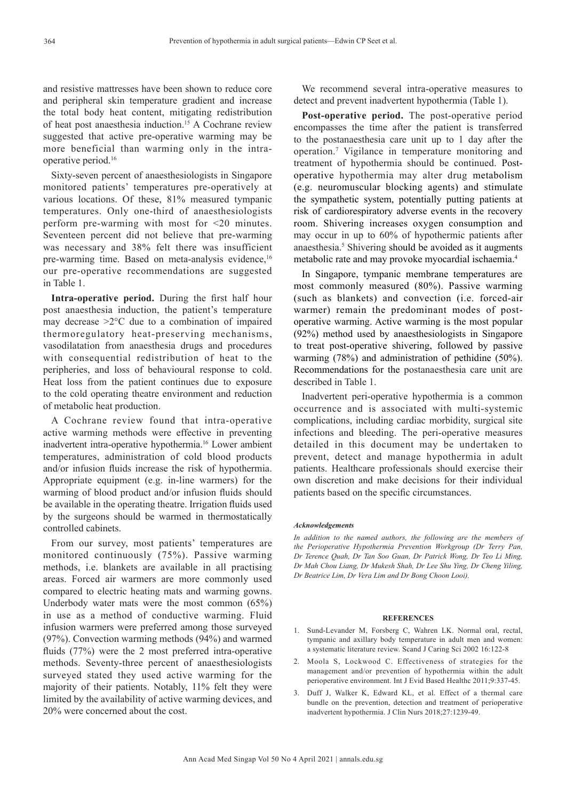and resistive mattresses have been shown to reduce core and peripheral skin temperature gradient and increase the total body heat content, mitigating redistribution of heat post anaesthesia induction.15 A Cochrane review suggested that active pre-operative warming may be more beneficial than warming only in the intraoperative period.16

Sixty-seven percent of anaesthesiologists in Singapore monitored patients' temperatures pre-operatively at various locations. Of these, 81% measured tympanic temperatures. Only one-third of anaesthesiologists perform pre-warming with most for <20 minutes. Seventeen percent did not believe that pre-warming was necessary and 38% felt there was insufficient pre-warming time. Based on meta-analysis evidence,<sup>16</sup> our pre-operative recommendations are suggested in Table 1.

**Intra-operative period.** During the first half hour post anaesthesia induction, the patient's temperature may decrease >2°C due to a combination of impaired thermoregulatory heat-preserving mechanisms, vasodilatation from anaesthesia drugs and procedures with consequential redistribution of heat to the peripheries, and loss of behavioural response to cold. Heat loss from the patient continues due to exposure to the cold operating theatre environment and reduction of metabolic heat production.

A Cochrane review found that intra-operative active warming methods were effective in preventing inadvertent intra-operative hypothermia.16 Lower ambient temperatures, administration of cold blood products and/or infusion fluids increase the risk of hypothermia. Appropriate equipment (e.g. in-line warmers) for the warming of blood product and/or infusion fluids should be available in the operating theatre. Irrigation fluids used by the surgeons should be warmed in thermostatically controlled cabinets.

From our survey, most patients' temperatures are monitored continuously (75%). Passive warming methods, i.e. blankets are available in all practising areas. Forced air warmers are more commonly used compared to electric heating mats and warming gowns. Underbody water mats were the most common (65%) in use as a method of conductive warming. Fluid infusion warmers were preferred among those surveyed (97%). Convection warming methods (94%) and warmed fluids (77%) were the 2 most preferred intra-operative methods. Seventy-three percent of anaesthesiologists surveyed stated they used active warming for the majority of their patients. Notably, 11% felt they were limited by the availability of active warming devices, and 20% were concerned about the cost.

We recommend several intra-operative measures to detect and prevent inadvertent hypothermia (Table 1).

**Post-operative period.** The post-operative period encompasses the time after the patient is transferred to the postanaesthesia care unit up to 1 day after the operation.<sup>7</sup> Vigilance in temperature monitoring and treatment of hypothermia should be continued. Postoperative hypothermia may alter drug metabolism (e.g. neuromuscular blocking agents) and stimulate the sympathetic system, potentially putting patients at risk of cardiorespiratory adverse events in the recovery room. Shivering increases oxygen consumption and may occur in up to 60% of hypothermic patients after anaesthesia.5 Shivering should be avoided as it augments metabolic rate and may provoke myocardial ischaemia.4

In Singapore, tympanic membrane temperatures are most commonly measured (80%). Passive warming (such as blankets) and convection (i.e. forced-air warmer) remain the predominant modes of postoperative warming. Active warming is the most popular (92%) method used by anaesthesiologists in Singapore to treat post-operative shivering, followed by passive warming (78%) and administration of pethidine (50%). Recommendations for the postanaesthesia care unit are described in Table 1.

Inadvertent peri-operative hypothermia is a common occurrence and is associated with multi-systemic complications, including cardiac morbidity, surgical site infections and bleeding. The peri-operative measures detailed in this document may be undertaken to prevent, detect and manage hypothermia in adult patients. Healthcare professionals should exercise their own discretion and make decisions for their individual patients based on the specific circumstances.

## *Acknowledgements*

*In addition to the named authors, the following are the members of the Perioperative Hypothermia Prevention Workgroup (Dr Terry Pan, Dr Terence Quah, Dr Tan Soo Guan, Dr Patrick Wong, Dr Teo Li Ming, Dr Mah Chou Liang, Dr Mukesh Shah, Dr Lee Shu Ying, Dr Cheng Yiling, Dr Beatrice Lim, Dr Vera Lim and Dr Bong Choon Looi).*

#### **REFERENCES**

- 1. Sund-Levander M, Forsberg C, Wahren LK. Normal oral, rectal, tympanic and axillary body temperature in adult men and women: a systematic literature review. Scand J Caring Sci 2002 16:122-8
- 2. Moola S, Lockwood C. Effectiveness of strategies for the management and/or prevention of hypothermia within the adult perioperative environment. Int J Evid Based Healthc 2011;9:337-45.
- 3. Duff J, Walker K, Edward KL, et al. Effect of a thermal care bundle on the prevention, detection and treatment of perioperative inadvertent hypothermia. J Clin Nurs 2018;27:1239-49.